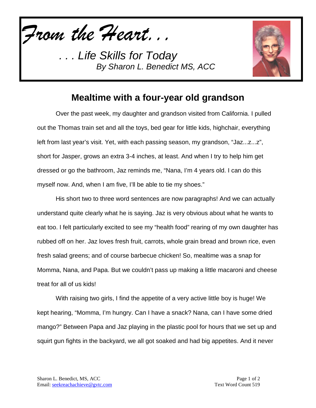*From the Heart...*



## **Mealtime with a four-year old grandson**

Over the past week, my daughter and grandson visited from California. I pulled out the Thomas train set and all the toys, bed gear for little kids, highchair, everything left from last year's visit. Yet, with each passing season, my grandson, "Jaz...z...z", short for Jasper, grows an extra 3-4 inches, at least. And when I try to help him get dressed or go the bathroom, Jaz reminds me, "Nana, I'm 4 years old. I can do this myself now. And, when I am five, I'll be able to tie my shoes."

His short two to three word sentences are now paragraphs! And we can actually understand quite clearly what he is saying. Jaz is very obvious about what he wants to eat too. I felt particularly excited to see my "health food" rearing of my own daughter has rubbed off on her. Jaz loves fresh fruit, carrots, whole grain bread and brown rice, even fresh salad greens; and of course barbecue chicken! So, mealtime was a snap for Momma, Nana, and Papa. But we couldn't pass up making a little macaroni and cheese treat for all of us kids!

With raising two girls, I find the appetite of a very active little boy is huge! We kept hearing, "Momma, I'm hungry. Can I have a snack? Nana, can I have some dried mango?" Between Papa and Jaz playing in the plastic pool for hours that we set up and squirt gun fights in the backyard, we all got soaked and had big appetites. And it never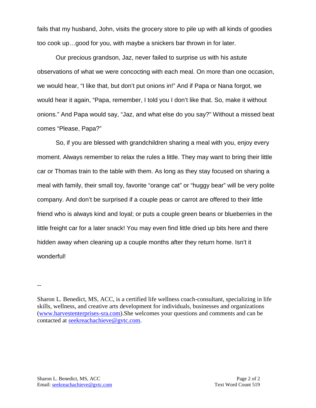fails that my husband, John, visits the grocery store to pile up with all kinds of goodies too cook up…good for you, with maybe a snickers bar thrown in for later.

Our precious grandson, Jaz, never failed to surprise us with his astute observations of what we were concocting with each meal. On more than one occasion, we would hear, "I like that, but don't put onions in!" And if Papa or Nana forgot, we would hear it again, "Papa, remember, I told you I don't like that. So, make it without onions." And Papa would say, "Jaz, and what else do you say?" Without a missed beat comes "Please, Papa?"

So, if you are blessed with grandchildren sharing a meal with you, enjoy every moment. Always remember to relax the rules a little. They may want to bring their little car or Thomas train to the table with them. As long as they stay focused on sharing a meal with family, their small toy, favorite "orange cat" or "huggy bear" will be very polite company. And don't be surprised if a couple peas or carrot are offered to their little friend who is always kind and loyal; or puts a couple green beans or blueberries in the little freight car for a later snack! You may even find little dried up bits here and there hidden away when cleaning up a couple months after they return home. Isn't it wonderful!

--

Sharon L. Benedict, MS, ACC, is a certified life wellness coach-consultant, specializing in life skills, wellness, and creative arts development for individuals, businesses and organizations [\(www.harvestenterprises-sra.com\)](http://www.harvestenterprises-sra.com/).She welcomes your questions and comments and can be contacted at [seekreachachieve@gvtc.com.](mailto:seekreachachieve@gvtc.com)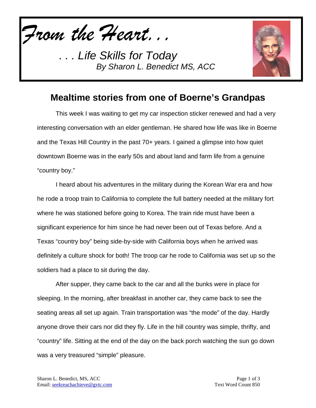*From the Heart...*



## **Mealtime stories from one of Boerne's Grandpas**

This week I was waiting to get my car inspection sticker renewed and had a very interesting conversation with an elder gentleman. He shared how life was like in Boerne and the Texas Hill Country in the past 70+ years. I gained a glimpse into how quiet downtown Boerne was in the early 50s and about land and farm life from a genuine "country boy."

I heard about his adventures in the military during the Korean War era and how he rode a troop train to California to complete the full battery needed at the military fort where he was stationed before going to Korea. The train ride must have been a significant experience for him since he had never been out of Texas before. And a Texas "country boy" being side-by-side with California boys when he arrived was definitely a culture shock for both! The troop car he rode to California was set up so the soldiers had a place to sit during the day.

After supper, they came back to the car and all the bunks were in place for sleeping. In the morning, after breakfast in another car, they came back to see the seating areas all set up again. Train transportation was "the mode" of the day. Hardly anyone drove their cars nor did they fly. Life in the hill country was simple, thrifty, and "country" life. Sitting at the end of the day on the back porch watching the sun go down was a very treasured "simple" pleasure.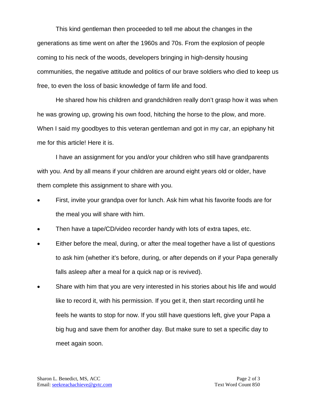This kind gentleman then proceeded to tell me about the changes in the generations as time went on after the 1960s and 70s. From the explosion of people coming to his neck of the woods, developers bringing in high-density housing communities, the negative attitude and politics of our brave soldiers who died to keep us free, to even the loss of basic knowledge of farm life and food.

He shared how his children and grandchildren really don't grasp how it was when he was growing up, growing his own food, hitching the horse to the plow, and more. When I said my goodbyes to this veteran gentleman and got in my car, an epiphany hit me for this article! Here it is.

I have an assignment for you and/or your children who still have grandparents with you. And by all means if your children are around eight years old or older, have them complete this assignment to share with you.

- First, invite your grandpa over for lunch. Ask him what his favorite foods are for the meal you will share with him.
- Then have a tape/CD/video recorder handy with lots of extra tapes, etc.
- Either before the meal, during, or after the meal together have a list of questions to ask him (whether it's before, during, or after depends on if your Papa generally falls asleep after a meal for a quick nap or is revived).
- Share with him that you are very interested in his stories about his life and would like to record it, with his permission. If you get it, then start recording until he feels he wants to stop for now. If you still have questions left, give your Papa a big hug and save them for another day. But make sure to set a specific day to meet again soon.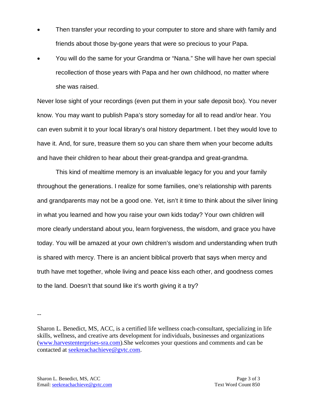- Then transfer your recording to your computer to store and share with family and friends about those by-gone years that were so precious to your Papa.
- You will do the same for your Grandma or "Nana." She will have her own special recollection of those years with Papa and her own childhood, no matter where she was raised.

Never lose sight of your recordings (even put them in your safe deposit box). You never know. You may want to publish Papa's story someday for all to read and/or hear. You can even submit it to your local library's oral history department. I bet they would love to have it. And, for sure, treasure them so you can share them when your become adults and have their children to hear about their great-grandpa and great-grandma.

This kind of mealtime memory is an invaluable legacy for you and your family throughout the generations. I realize for some families, one's relationship with parents and grandparents may not be a good one. Yet, isn't it time to think about the silver lining in what you learned and how you raise your own kids today? Your own children will more clearly understand about you, learn forgiveness, the wisdom, and grace you have today. You will be amazed at your own children's wisdom and understanding when truth is shared with mercy. There is an ancient biblical proverb that says when mercy and truth have met together, whole living and peace kiss each other, and goodness comes to the land. Doesn't that sound like it's worth giving it a try?

--

Sharon L. Benedict, MS, ACC, is a certified life wellness coach-consultant, specializing in life skills, wellness, and creative arts development for individuals, businesses and organizations [\(www.harvestenterprises-sra.com\)](http://www.harvestenterprises-sra.com/).She welcomes your questions and comments and can be contacted at [seekreachachieve@gvtc.com.](mailto:seekreachachieve@gvtc.com)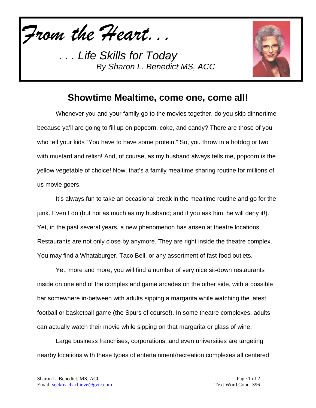*From the Heart...*



## **Showtime Mealtime, come one, come all!**

Whenever you and your family go to the movies together, do you skip dinnertime because ya'll are going to fill up on popcorn, coke, and candy? There are those of you who tell your kids "You have to have some protein." So, you throw in a hotdog or two with mustard and relish! And, of course, as my husband always tells me, popcorn is the yellow vegetable of choice! Now, that's a family mealtime sharing routine for millions of us movie goers.

It's always fun to take an occasional break in the mealtime routine and go for the junk. Even I do (but not as much as my husband; and if you ask him, he will deny it!). Yet, in the past several years, a new phenomenon has arisen at theatre locations. Restaurants are not only close by anymore. They are right inside the theatre complex. You may find a Whataburger, Taco Bell, or any assortment of fast-food outlets.

Yet, more and more, you will find a number of very nice sit-down restaurants inside on one end of the complex and game arcades on the other side, with a possible bar somewhere in-between with adults sipping a margarita while watching the latest football or basketball game (the Spurs of course!). In some theatre complexes, adults can actually watch their movie while sipping on that margarita or glass of wine.

Large business franchises, corporations, and even universities are targeting nearby locations with these types of entertainment/recreation complexes all centered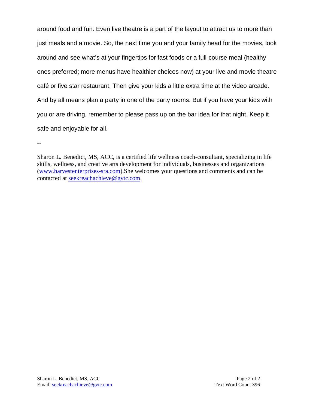around food and fun. Even live theatre is a part of the layout to attract us to more than just meals and a movie. So, the next time you and your family head for the movies, look around and see what's at your fingertips for fast foods or a full-course meal (healthy ones preferred; more menus have healthier choices now) at your live and movie theatre café or five star restaurant. Then give your kids a little extra time at the video arcade. And by all means plan a party in one of the party rooms. But if you have your kids with you or are driving, remember to please pass up on the bar idea for that night. Keep it safe and enjoyable for all.

--

Sharon L. Benedict, MS, ACC, is a certified life wellness coach-consultant, specializing in life skills, wellness, and creative arts development for individuals, businesses and organizations [\(www.harvestenterprises-sra.com\)](http://www.harvestenterprises-sra.com/).She welcomes your questions and comments and can be contacted at **seekreachachieve@gvtc.com**.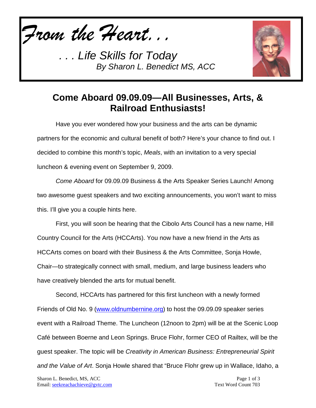*From the Heart...*



## **Come Aboard 09.09.09—All Businesses, Arts, & Railroad Enthusiasts!**

Have you ever wondered how your business and the arts can be dynamic partners for the economic and cultural benefit of both? Here's your chance to find out. I decided to combine this month's topic, *Meals*, with an invitation to a very special luncheon & evening event on September 9, 2009.

*Come Aboard* for 09.09.09 Business & the Arts Speaker Series Launch! Among two awesome guest speakers and two exciting announcements, you won't want to miss this. I'll give you a couple hints here.

First, you will soon be hearing that the Cibolo Arts Council has a new name, Hill Country Council for the Arts (HCCArts). You now have a new friend in the Arts as HCCArts comes on board with their Business & the Arts Committee, Sonja Howle, Chair—to strategically connect with small, medium, and large business leaders who have creatively blended the arts for mutual benefit.

Second, HCCArts has partnered for this first luncheon with a newly formed Friends of Old No. 9 [\(www.oldnumbernine.org\)](http://www.oldnumbernine.org/) to host the 09.09.09 speaker series event with a Railroad Theme. The Luncheon (12noon to 2pm) will be at the Scenic Loop Café between Boerne and Leon Springs. Bruce Flohr, former CEO of Railtex, will be the guest speaker. The topic will be *Creativity in American Business: Entrepreneurial Spirit and the Value of Art*. Sonja Howle shared that "Bruce Flohr grew up in Wallace, Idaho, a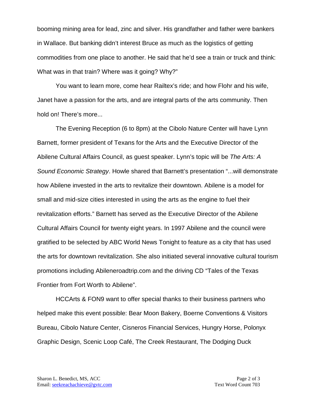booming mining area for lead, zinc and silver. His grandfather and father were bankers in Wallace. But banking didn't interest Bruce as much as the logistics of getting commodities from one place to another. He said that he'd see a train or truck and think: What was in that train? Where was it going? Why?"

You want to learn more, come hear Railtex's ride; and how Flohr and his wife, Janet have a passion for the arts, and are integral parts of the arts community. Then hold on! There's more...

The Evening Reception (6 to 8pm) at the Cibolo Nature Center will have Lynn Barnett, former president of Texans for the Arts and the Executive Director of the Abilene Cultural Affairs Council, as guest speaker. Lynn's topic will be *The Arts: A Sound Economic Strategy*. Howle shared that Barnett's presentation "...will demonstrate how Abilene invested in the arts to revitalize their downtown. Abilene is a model for small and mid-size cities interested in using the arts as the engine to fuel their revitalization efforts." Barnett has served as the Executive Director of the Abilene Cultural Affairs Council for twenty eight years. In 1997 Abilene and the council were gratified to be selected by ABC World News Tonight to feature as a city that has used the arts for downtown revitalization. She also initiated several innovative cultural tourism promotions including Abileneroadtrip.com and the driving CD "Tales of the Texas Frontier from Fort Worth to Abilene".

HCCArts & FON9 want to offer special thanks to their business partners who helped make this event possible: Bear Moon Bakery, Boerne Conventions & Visitors Bureau, Cibolo Nature Center, Cisneros Financial Services, Hungry Horse, Polonyx Graphic Design, Scenic Loop Café, The Creek Restaurant, The Dodging Duck